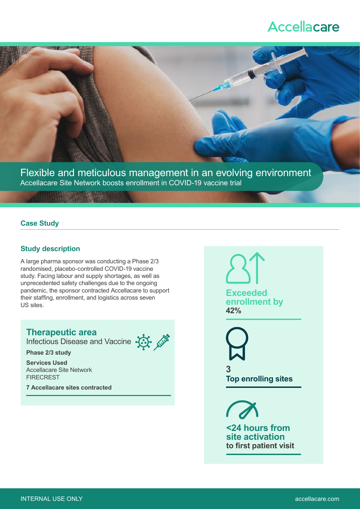# **Accellacare**



Flexible and meticulous management in an evolving environment Accellacare Site Network boosts enrollment in COVID-19 vaccine trial

#### **Case Study**

### **Study description**

A large pharma sponsor was conducting a Phase 2/3 randomised, placebo-controlled COVID-19 vaccine study. Facing labour and supply shortages, as well as unprecedented safety challenges due to the ongoing pandemic, the sponsor contracted Accellacare to support their staffing, enrollment, and logistics across seven US sites.

# **Therapeutic area**

Infectious Disease and Vaccine



**Services Used** Accellacare Site Network **FIRECREST** 

**7 Accellacare sites contracted**